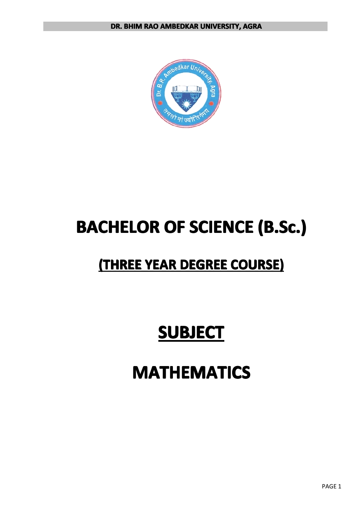

# **BACHELOR BACHELOR BACHELOR BACHELOROF SCIENCE SCIENCE SCIENCESCIENCE (B.Sc.) (B.Sc.) (B.Sc.) (B.Sc.)**

## $($ THREE YEAR DEGREE COURSE)

# **SUBJECT SUBJECT SUBJECTSUBJECT**

# **MATHEMATICS**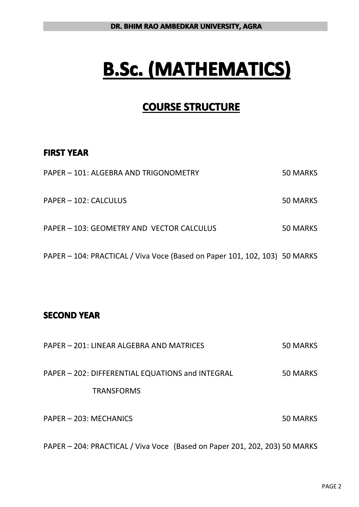# **B.Sc. (MATHEMATICS) (MATHEMATICS) (MATHEMATICS) (MATHEMATICS)**

## **COURSE STRUCTURE**

#### **FIRST YEAR**

| PAPER - 101: ALGEBRA AND TRIGONOMETRY                                      | 50 MARKS |
|----------------------------------------------------------------------------|----------|
| PAPER - 102: CALCULUS                                                      | 50 MARKS |
| PAPER – 103: GEOMETRY AND VECTOR CALCULUS                                  | 50 MARKS |
| PAPER – 104: PRACTICAL / Viva Voce (Based on Paper 101, 102, 103) 50 MARKS |          |

### **SECOND YEAR**

| PAPER – 201: LINEAR ALGEBRA AND MATRICES         | 50 MARKS |
|--------------------------------------------------|----------|
| PAPER - 202: DIFFERENTIAL EQUATIONS and INTEGRAL | 50 MARKS |
| <b>TRANSFORMS</b>                                |          |
| PAPER - 203: MECHANICS                           | 50 MARKS |

PAPER – 204: PRACTICAL / Viva Voce (Based on Paper 201, 202, 203) 50 MARKS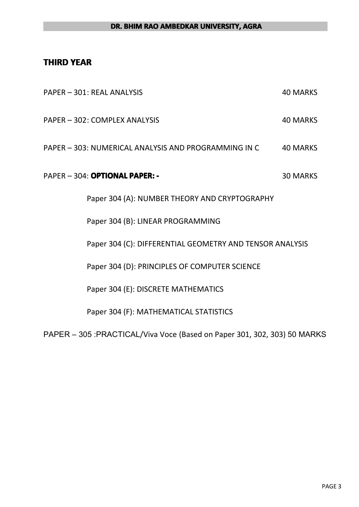#### **THIRD YEAR**

| PAPER - 301: REAL ANALYSIS                                                | <b>40 MARKS</b> |
|---------------------------------------------------------------------------|-----------------|
| PAPER - 302: COMPLEX ANALYSIS                                             | <b>40 MARKS</b> |
| PAPER - 303: NUMERICAL ANALYSIS AND PROGRAMMING IN C                      | <b>40 MARKS</b> |
| PAPER - 304: OPTIONAL PAPER: -                                            | <b>30 MARKS</b> |
| Paper 304 (A): NUMBER THEORY AND CRYPTOGRAPHY                             |                 |
| Paper 304 (B): LINEAR PROGRAMMING                                         |                 |
| Paper 304 (C): DIFFERENTIAL GEOMETRY AND TENSOR ANALYSIS                  |                 |
| Paper 304 (D): PRINCIPLES OF COMPUTER SCIENCE                             |                 |
| Paper 304 (E): DISCRETE MATHEMATICS                                       |                 |
| Paper 304 (F): MATHEMATICAL STATISTICS                                    |                 |
| PAPER - 305 : PRACTICAL/Viva Voce (Based on Paper 301, 302, 303) 50 MARKS |                 |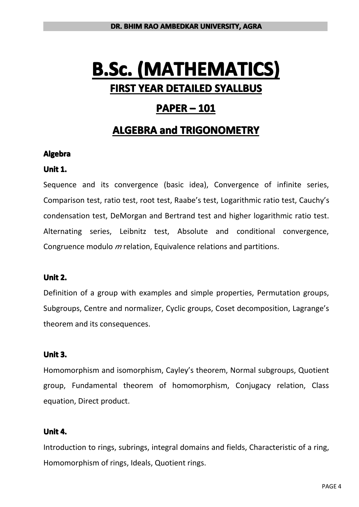## **PAPER – 101**

## **ALGEBRA ALGEBRA ALGEBRA and TRIGONOMETRY TRIGONOMETRY TRIGONOMETRY**

#### **Algebra**

#### **Unit 1.**

Sequence and its convergence (basic idea), Convergence of infinite series, Comparison test, ratio test, root test, Raabe's test, Logarithmic ratio test, Cauchy's condensation test, DeMorgan and Bertrand test and higher logarithmic ratio test. Alternating series, Leibnitz test, Absolute and conditional convergence, Congruence modulo *<sup>m</sup>* relation, Equivalence relations and partitions.

#### **Unit 2.**

Definition of <sup>a</sup> group with examples and simple properties, Permutation groups, Subgroups, Centre and normalizer, Cyclic groups, Coset decomposition, Lagrange's theorem and its consequences.

#### **Unit 3.**

Homomorphism and isomorphism, Cayley's theorem, Normal subgroups, Quotient group, Fundamental theorem of homomorphism, Conjugacy relation, Class equation, Direct product.

#### **Unit 4.**

Introduction to rings, subrings, integral domains and fields, Characteristic of <sup>a</sup> ring, Homomorphism of rings, Ideals, Quotient rings.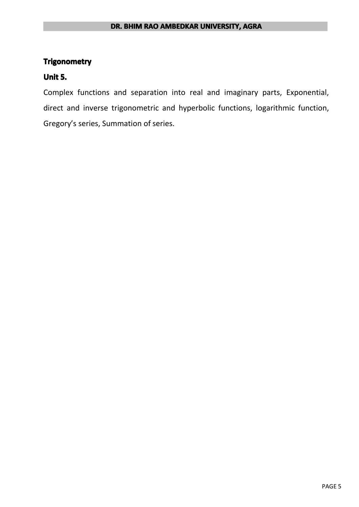#### **DR. BHIM RAO AMBEDKAR UNIVERSITY, AGRA**

#### **Trigonometry**

#### **Unit 5.**

Complex functions and separation into real and imaginary parts, Exponential, direct and inverse trigonometric and hyperbolic functions, logarithmic function, Gregory's series, Summation of series.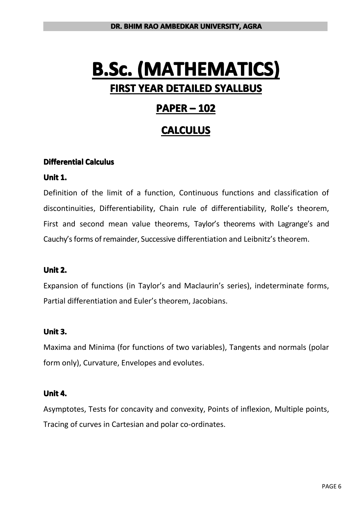## **PAPER – 102**

## **CALCULUS CALCULUS CALCULUS**

#### $Differential$  Calculus

#### **Unit 1.**

Definition of the limit of a function, Continuous functions and classification of discontinuities, Differentiability, Chain rule of differentiability, Rolle's theorem, First and second mean value theorems, Taylor's theorems with Lagrange's and Cauchy's forms of remainder, Successive differentiation and Leibnitz's theorem.

#### **Unit 2.**

Expansion of functions (in Taylor's and Maclaurin's series), indeterminate forms, Partial differentiation and Euler's theorem, Jacobians.

#### **Unit 3.**

Maxima and Minima (for functions of two variables), Tangents and normals (polar form only), Curvature, Envelopes and evolutes.

#### **Unit 4.**

Asymptotes, Tests for concavity and convexity, Points of inflexion, Multiple points, Tracing of curves in Cartesian and polar co-ordinates.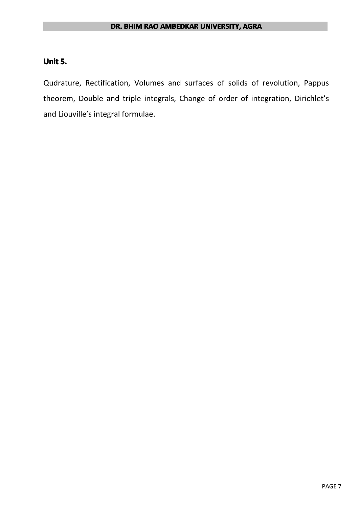#### **Unit 5.**

Qudrature, Rectification, Volumes and surfaces of solids of revolution, Pappus theorem, Double and triple integrals, Change of order of integration, Dirichlet's and Liouville's integral formulae.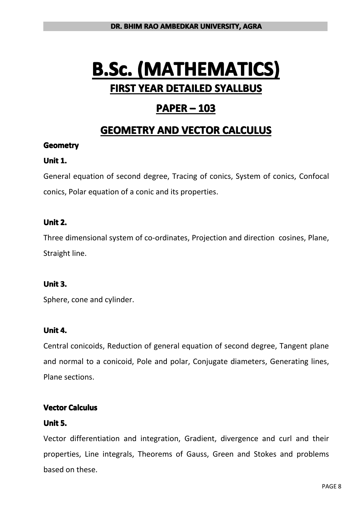## **PAPER – 103**

## **GEOMETRY GEOMETRY GEOMETRY AND VECTOR CALCULUS CALCULUS**

#### **Geometry**

#### **Unit 1.**

General equation of second degree, Tracing of conics, System of conics, Confocal conics, Polar equation of <sup>a</sup> conic and its properties.

#### **Unit 2.**

Three dimensional system of co-ordinates, Projection and direction cosines, Plane, Straight line.

#### **Unit 3.**

Sphere, cone and cylinder.

#### **Unit 4.**

Central conicoids, Reduction of general equation of second degree, Tangent plane and normal to <sup>a</sup> conicoid, Pole and polar, Conjugate diameters, Generating lines, Plane sections.

#### **Vector Calculus**

#### **Unit 5.**

Vector differentiation and integration, Gradient, divergence and curl and their properties, Line integrals, Theorems of Gauss, Green and Stokes and problems based on these.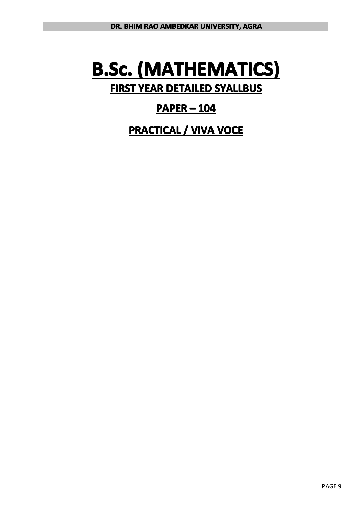## **PAPER – 104**

**PRACTICAL PRACTICAL / VIVA VOCE**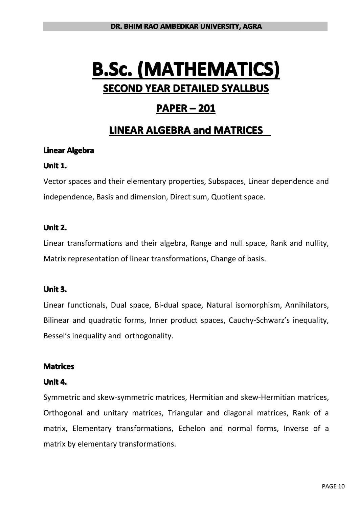## **PAPER – 201**

## **LINEAR ALGEBRA ALGEBRA ALGEBRAand MATRICES MATRICES MATRICES**

#### **Linear Algebra**

#### **Unit 1.**

Vector spaces and their elementary properties, Subspaces, Linear dependence and independence, Basis and dimension, Direct sum, Quotient space.

#### **Unit 2.**

Linear transformations and their algebra, Range and null space, Rank and nullity, Matrix representation of linear transformations, Change of basis.

#### **Unit 3.**

Linear functionals, Dual space, Bi-dual space, Natural isomorphism, Annihilators, Bilinear and quadratic forms, Inner product spaces, Cauchy-Schwarz's inequality, Bessel's inequality and orthogonality.

#### **Matrices**

#### **Unit 4.**

Symmetric and skew-symmetric matrices, Hermitian and skew-Hermitian matrices, Orthogonal and unitary matrices, Triangular and diagonal matrices, Rank of <sup>a</sup> matrix, Elementary transformations, Echelon and normal forms, Inverse of <sup>a</sup> matrix by elementary transformations.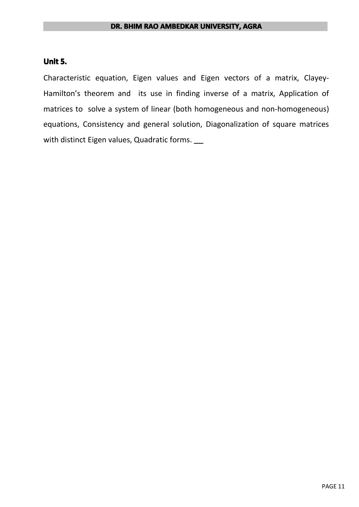#### **Unit 5.**

Characteristic equation, Eigen values and Eigen vectors of <sup>a</sup> matrix, Clayey-Hamilton's theorem and its use in finding inverse of <sup>a</sup> matrix, Application of matrices to solve <sup>a</sup> system of linear (both homogeneous and non-homogeneous) equations, Consistency and general solution, Diagonalization of square matrices with distinct Eigen values, Quadratic forms.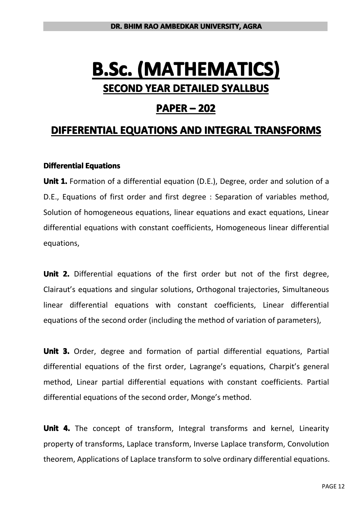### **PAPER – 202**

## **DIFFERENTIAL DIFFERENTIAL EQUATIONS EQUATIONS AND INTEGRAL INTEGRAL INTEGRAL INTEGRAL TRANSFORMS TRANSFORMS TRANSFORMS**

#### **Differential Equations**

**Unit 1.** Formation of <sup>a</sup> differential equation (D.E.), Degree, order and solution of <sup>a</sup> D.E., Equations of first order and first degree : Separation of variables method, Solution of homogeneous equations, linear equations and exact equations, Linear differential equations with constant coefficients, Homogeneous linear differential equations,

**Unit 2.** Differential equations of the first order but not of the first degree, Clairaut's equations and singular solutions, Orthogonal trajectories, Simultaneous linear differential equations with constant coefficients, Linear differential equations of the second order (including the method of variation of parameters),

**Unit 3.** Order, degree and formation of partial differential equations, Partial differential equations of the first order, Lagrange's equations, Charpit's general method, Linear partial differential equations with constant coefficients. Partial differential equations of the second order, Monge's method.

**Unit 4.** The concept of transform, Integral transforms and kernel, Linearity property of transforms, Laplace transform, Inverse Laplace transform, Convolution theorem, Applications of Laplace transform to solve ordinary differential equations.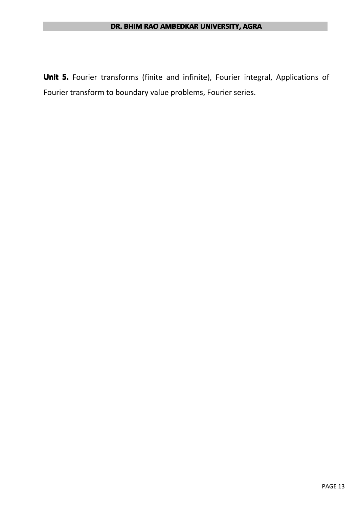**Unit 5.** Fourier transforms (finite and infinite), Fourier integral, Applications of Fourier transform to boundary value problems, Fourier series.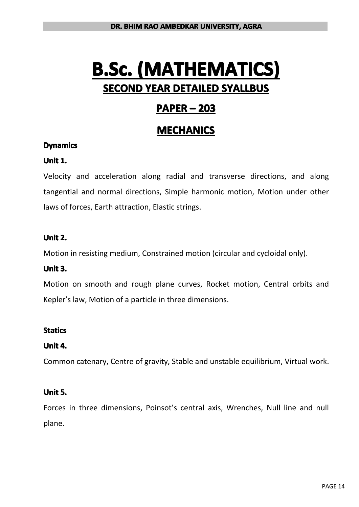# **B.Sc. (MATHEMATICS) (MATHEMATICS) (MATHEMATICS) (MATHEMATICS) SECOND YEAR DETAILED SYALLBUS**

## **PAPER – 203**

## **MECHANICS MECHANICS MECHANICS**

#### **Dynamics**

#### **Unit 1.**

Velocity and acceleration along radial and transverse directions, and along tangential and normal directions, Simple harmonic motion, Motion under other laws of forces, Earth attraction, Elastic strings.

#### **Unit 2.**

Motion in resisting medium, Constrained motion (circular and cycloidal only).

#### **Unit 3.**

Motion on smooth and rough plane curves, Rocket motion, Central orbits and Kepler's law, Motion of <sup>a</sup> particle in three dimensions.

#### **Statics**

#### **Unit 4.**

Common catenary, Centre of gravity, Stable and unstable equilibrium, Virtual work.

#### **Unit 5.**

Forces in three dimensions, Poinsot's central axis, Wrenches, Null line and null plane.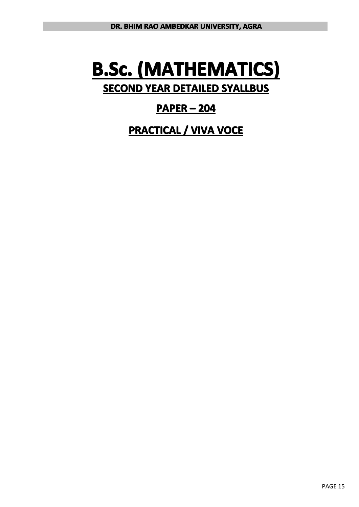# **B.Sc. (MATHEMATICS) (MATHEMATICS) (MATHEMATICS) (MATHEMATICS) SECOND YEAR DETAILED SYALLBUS**

## **PAPER – 204**

**PRACTICAL PRACTICAL / VIVA VOCE**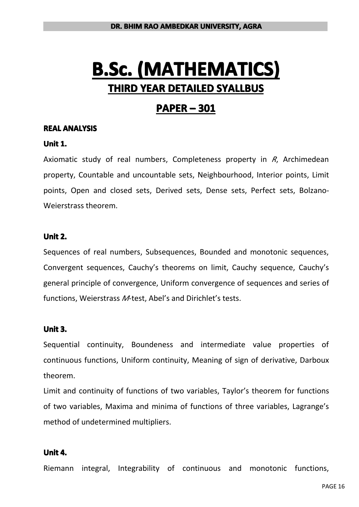## **PAPER – 301**

#### **REAL ANALYSIS**

#### **Unit 1.**

Axiomatic study of real numbers, Completeness property in *R*, Archimedean property, Countable and uncountable sets, Neighbourhood, Interior points, Limit points, Open and closed sets, Derived sets, Dense sets, Perfect sets, Bolzano-Weierstrass theorem.

#### **Unit 2.**

Sequences of real numbers, Subsequences, Bounded and monotonic sequences, Convergent sequences, Cauchy's theorems on limit, Cauchy sequence, Cauchy's general principle of convergence, Uniform convergence of sequences and series of functions, Weierstrass *M*-test, Abel's and Dirichlet's tests.

#### **Unit 3.**

Sequential continuity, Boundeness and intermediate value properties of continuous functions, Uniform continuity, Meaning of sign of derivative, Darboux theorem.

Limit and continuity of functions of two variables, Taylor's theorem for functions of two variables, Maxima and minima of functions of three variables, Lagrange's method of undetermined multipliers.

#### **Unit 4.**

Riemann integral, Integrability of continuous and monotonic functions,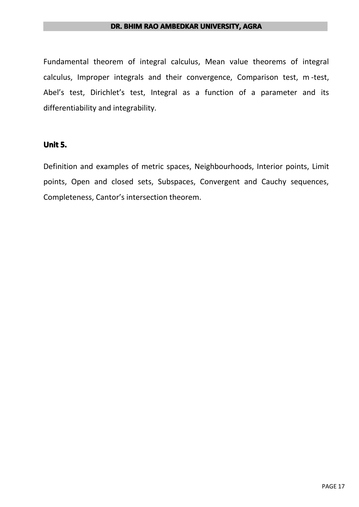#### **DR. BHIM RAO AMBEDKAR UNIVERSITY, AGRA**

Fundamental theorem of integral calculus, Mean value theorems of integral calculus, Improper integrals and their convergence, Comparison test, <sup>m</sup> -test, Abel's test, Dirichlet's test, Integral as a function of a parameter and its differentiability and integrability.

#### **Unit 5.**

Definition and examples of metric spaces, Neighbourhoods, Interior points, Limit points, Open and closed sets, Subspaces, Convergent and Cauchy sequences, Completeness, Cantor's intersection theorem.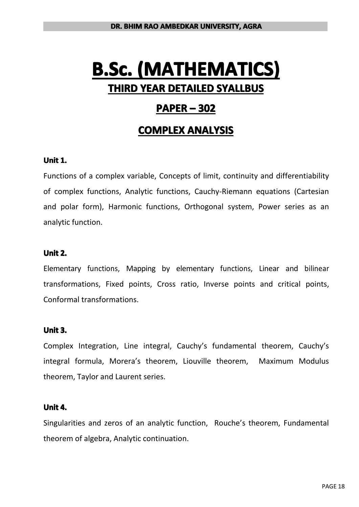## **PAPER – 302**

## **COMPLEX ANALYSIS**

#### **Unit 1.**

Functions of <sup>a</sup> complex variable, Concepts of limit, continuity and differentiability of complex functions, Analytic functions, Cauchy-Riemann equations (Cartesian and polar form), Harmonic functions, Orthogonal system, Power series as an analytic function.

#### **Unit 2.**

Elementary functions, Mapping by elementary functions, Linear and bilinear transformations, Fixed points, Cross ratio, Inverse points and critical points, Conformal transformations.

#### **Unit 3.**

Complex Integration, Line integral, Cauchy's fundamental theorem, Cauchy's integral formula, Morera's theorem, Liouville theorem, Maximum Modulus theorem, Taylor and Laurent series.

#### **Unit 4.**

Singularities and zeros of an analytic function, Rouche's theorem, Fundamental theorem of algebra, Analytic continuation.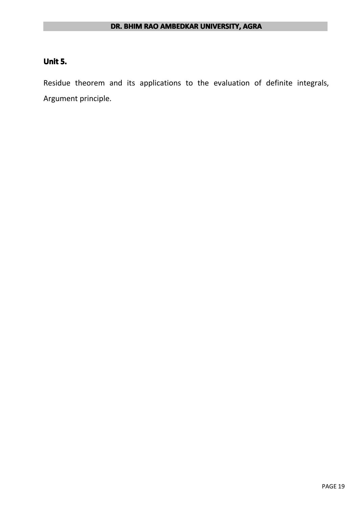#### **Unit 5.**

Residue theorem and its applications to the evaluation of definite integrals, Argument principle.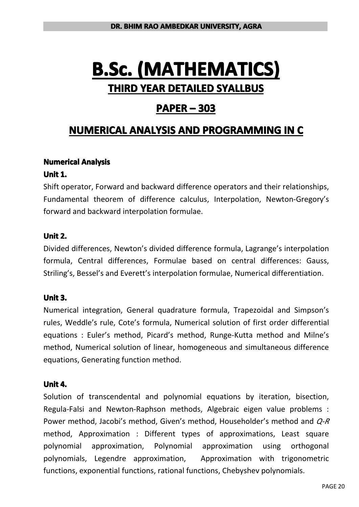## **PAPER – 303**

## **NUMERICAL NUMERICAL NUMERICAL ANALYSIS ANALYSIS AND PROGRAMMING PROGRAMMING PROGRAMMINGPROGRAMMINGIN C**

#### **Numerical Numerical Analysis Analysis**

#### **Unit 1.**

Shift operator, Forward and backward difference operators and their relationships, Fundamental theorem of difference calculus, Interpolation, Newton-Gregory's forward and backward interpolation formulae.

#### **Unit 2.**

Divided differences, Newton's divided difference formula, Lagrange's interpolation formula, Central differences, Formulae based on central differences: Gauss, Striling's, Bessel's and Everett's interpolation formulae, Numerical differentiation.

#### **Unit 3.**

Numerical integration, General quadrature formula, Trapezoidal and Simpson's rules, Weddle's rule, Cote's formula, Numerical solution of first order differential equations : Euler's method, Picard's method, Runge-Kutta method and Milne's method, Numerical solution of linear, homogeneous and simultaneous difference equations, Generating function method.

#### **Unit 4.**

Solution of transcendental and polynomial equations by iteration, bisection, Regula-Falsi and Newton-Raphson methods, Algebraic eigen value problems : Power method, Jacobi's method, Given's method, Householder's method and *Q-R* method, Approximation : Different types of approximations, Least square polynomial approximation, Polynomial approximation using orthogonal polynomials, Legendre approximation, Approximation with trigonometric functions, exponential functions, rational functions, Chebyshev polynomials.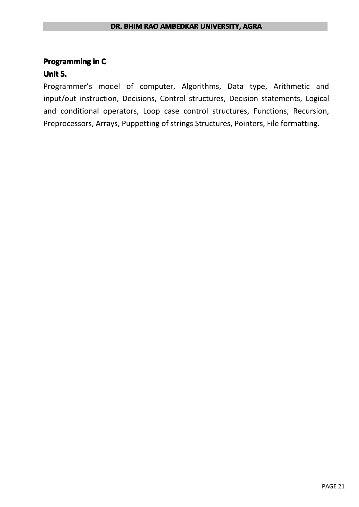#### **DR. BHIM RAO AMBEDKAR UNIVERSITY, AGRA**

#### **Programming in C**

#### **Unit 5.**

Programmer's model of computer, Algorithms, Data type, Arithmetic and input/out instruction, Decisions, Control structures, Decision statements, Logical and conditional operators, Loop case control structures, Functions, Recursion, Preprocessors, Arrays, Puppetting of strings Structures, Pointers, File formatting.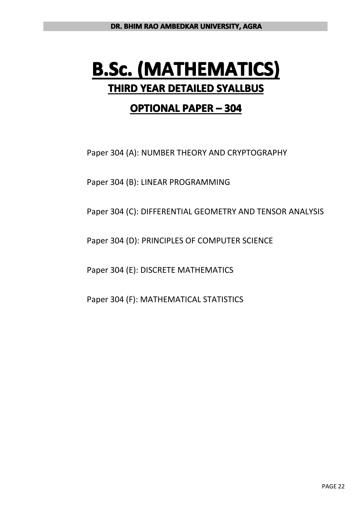## **OPTIONAL PAPER – 304**

Paper 304 (A): NUMBER THEORY AND CRYPTOGRAPHY

Paper 304 (B): LINEAR PROGRAMMING

Paper 304 (C): DIFFERENTIAL GEOMETRY AND TENSOR ANALYSIS

Paper 304 (D): PRINCIPLES OF COMPUTER SCIENCE

Paper 304 (E): DISCRETE MATHEMATICS

Paper 304 (F): MATHEMATICAL STATISTICS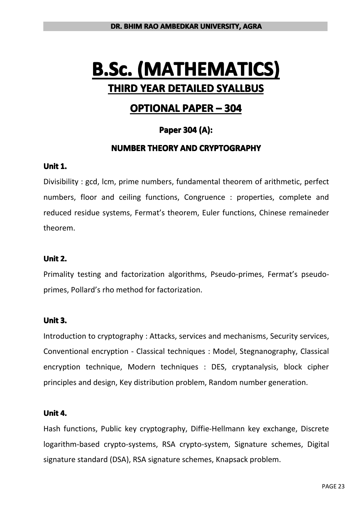## **OPTIONAL PAPER – 304**

#### **Paper 304 (A):**

#### **NUMBER THEORY AND CRYPTOGRAPHY CRYPTOGRAPHY**

#### **Unit 1.**

Divisibility : gcd, lcm, prime numbers, fundamental theorem of arithmetic, perfect numbers, floor and ceiling functions, Congruence : properties, complete and reduced residue systems, Fermat's theorem, Euler functions, Chinese remaineder theorem.

#### **Unit 2.**

Primality testing and factorization algorithms, Pseudo-primes, Fermat's pseudoprimes, Pollard's rho method for factorization.

#### **Unit 3.**

Introduction to cryptography : Attacks, services and mechanisms, Security services, Conventional encryption - Classical techniques : Model, Stegnanography, Classical encryption technique, Modern techniques : DES, cryptanalysis, block cipher principles and design, Key distribution problem, Random number generation.

#### **Unit 4.**

Hash functions, Public key cryptography, Diffie-Hellmann key exchange, Discrete logarithm-based crypto-systems, RSA crypto-system, Signature schemes, Digital signature standard (DSA), RSA signature schemes, Knapsack problem.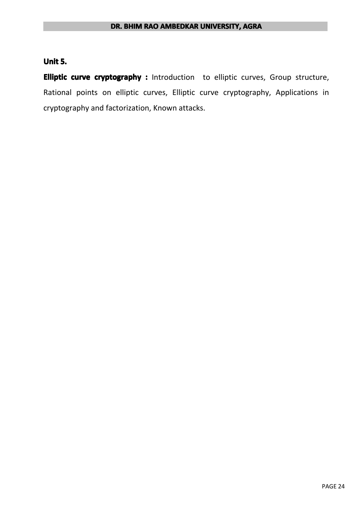### **Unit 5.**

**Elliptic Elliptic Elliptic curve cryptography cryptography cryptography:** Introduction to elliptic curves, Group structure, Rational points on elliptic curves, Elliptic curve cryptography, Applications in cryptography and factorization, Known attacks.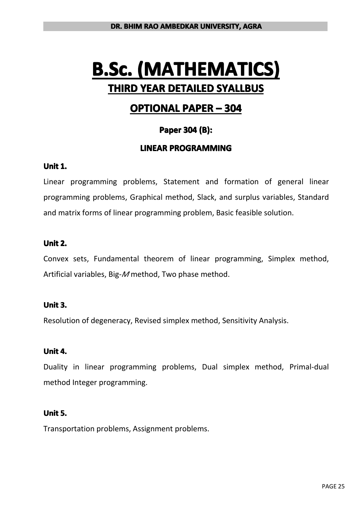## **OPTIONAL PAPER – 304**

#### **Paper 304 (B):**

#### **LINEAR PROGRAMMING PROGRAMMING**

#### **Unit 1.**

Linear programming problems, Statement and formation of general linear programming problems, Graphical method, Slack, and surplus variables, Standard and matrix forms of linear programming problem, Basic feasible solution.

#### **Unit 2.**

Convex sets, Fundamental theorem of linear programming, Simplex method, Artificial variables, Big-*M* method, Two phase method.

#### **Unit 3.**

Resolution of degeneracy, Revised simplex method, Sensitivity Analysis.

#### **Unit 4.**

Duality in linear programming problems, Dual simplex method, Primal-dual method Integer programming.

#### **Unit 5.**

Transportation problems, Assignment problems.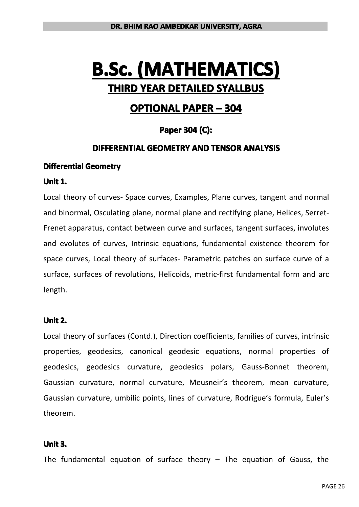## **OPTIONAL PAPER – 304**

#### **Paper 304 (C):**

#### **DIFFERENTIAL GEOMETRY AND TENSOR ANALYSIS**

#### **Differential Geometry**

#### **Unit 1.**

Local theory of curves- Space curves, Examples, Plane curves, tangent and normal and binormal, Osculating plane, normal plane and rectifying plane, Helices, Serret-Frenet apparatus, contact between curve and surfaces, tangent surfaces, involutes and evolutes of curves, Intrinsic equations, fundamental existence theorem for space curves, Local theory of surfaces- Parametric patches on surface curve of <sup>a</sup> surface, surfaces of revolutions, Helicoids, metric-first fundamental form and arc length.

#### **Unit 2.**

Local theory of surfaces (Contd.), Direction coefficients, families of curves, intrinsic properties, geodesics, canonical geodesic equations, normal properties of geodesics, geodesics curvature, geodesics polars, Gauss-Bonnet theorem, Gaussian curvature, normal curvature, Meusneir's theorem, mean curvature, Gaussian curvature, umbilic points, lines of curvature, Rodrigue's formula, Euler's theorem.

#### **Unit 3.**

The fundamental equation of surface theory  $-$  The equation of Gauss, the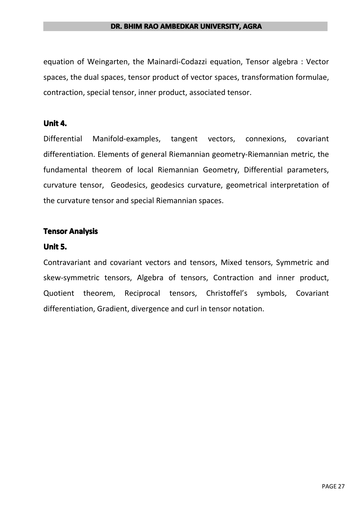#### **DR. BHIM RAO AMBEDKAR UNIVERSITY, AGRA**

equation of Weingarten, the Mainardi-Codazzi equation, Tensor algebra : Vector spaces, the dual spaces, tensor product of vector spaces, transformation formulae, contraction, special tensor, inner product, associated tensor.

#### **Unit 4.**

Differential Manifold-examples, tangent vectors, connexions, covariant differentiation. Elements of general Riemannian geometry-Riemannian metric, the fundamental theorem of local Riemannian Geometry, Differential parameters, curvature tensor, Geodesics, geodesics curvature, geometrical interpretation of the curvature tensor and special Riemannian spaces.

#### **Tensor Analysis**

#### **Unit 5.**

Contravariant and covariant vectors and tensors, Mixed tensors, Symmetric and skew-symmetric tensors, Algebra of tensors, Contraction and inner product, Quotient theorem, Reciprocal tensors, Christoffel's symbols, Covariant differentiation, Gradient, divergence and curl in tensor notation.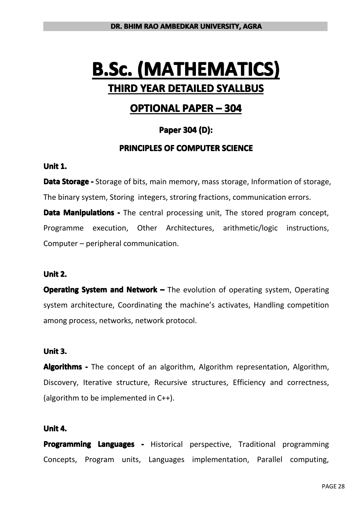## **OPTIONAL PAPER – 304**

#### **Paper 304 (D):**

#### **PRINCIPLES OF COMPUTER SCIENCE**

#### **Unit 1.**

**Data Storage** - Storage of bits, main memory, mass storage, Information of storage, The binary system, Storing integers, stroring fractions, communication errors. **Data Manipulations** - The central processing unit, The stored program concept, Programme execution, Other Architectures, arithmetic/logic instructions, Computer – peripheral communication.

#### **Unit 2.**

**Operating System and Network –** The evolution of operating system, Operating system architecture, Coordinating the machine's activates, Handling competition among process, networks, network protocol.

#### **Unit 3.**

**Algorithms** - The concept of an algorithm, Algorithm representation, Algorithm, Discovery, Iterative structure, Recursive structures, Efficiency and correctness, (algorithm to be implemented in C++).

#### **Unit 4.**

**Programming Languages -** Historical perspective, Traditional programming Concepts, Program units, Languages implementation, Parallel computing,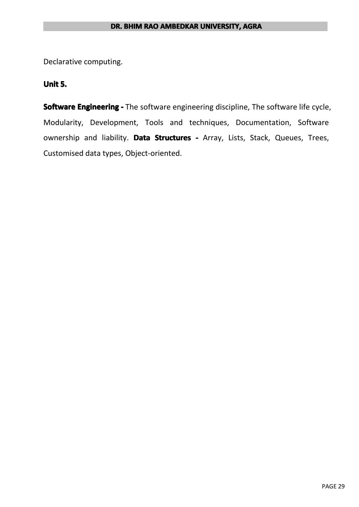Declarative computing.

#### **Unit 5.**

**Software Engineering -** The software engineering discipline, The software life cycle, Modularity, Development, Tools and techniques, Documentation, Software ownership and liability. Data Structures - Array, Lists, Stack, Queues, Trees, Customised data types, Object-oriented.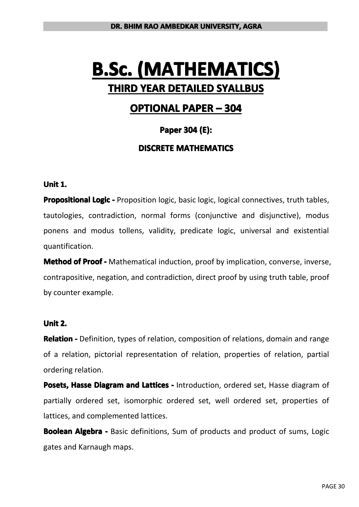## **OPTIONAL PAPER – 304**

#### **Paper 304 (E):**

#### **DISCRETE MATHEMATICS**

#### **Unit 1.**

**Propositional Logic** - Proposition logic, basic logic, logical connectives, truth tables, tautologies, contradiction, normal forms (conjunctive and disjunctive), modus ponens and modus tollens, validity, predicate logic, universal and existential quantification.

**Method of Proof -** Mathematical induction, proof by implication, converse, inverse, contrapositive, negation, and contradiction, direct proof by using truth table, proof by counter example.

#### **Unit 2.**

**Relation -** Definition, types of relation, composition of relations, domain and range of <sup>a</sup> relation, pictorial representation of relation, properties of relation, partial ordering relation.

**Posets, Hasse Diagram and Lattices - Introduction, ordered set, Hasse diagram of** partially ordered set, isomorphic ordered set, well ordered set, properties of lattices, and complemented lattices.

**Boolean Algebra -** Basic definitions, Sum of products and product of sums, Logic gates and Karnaugh maps.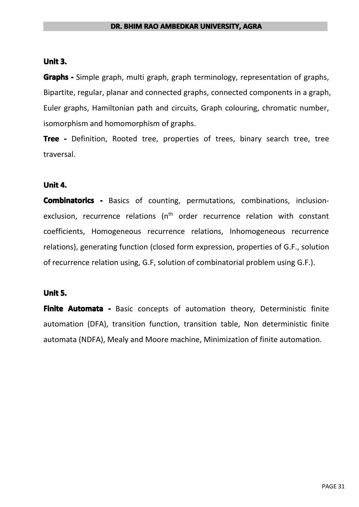#### **Unit 3.**

**Graphs -** Simple graph, multi graph, graph terminology, representation of graphs, Bipartite, regular, planar and connected graphs, connected components in <sup>a</sup> graph, Euler graphs, Hamiltonian path and circuits, Graph colouring, chromatic number, isomorphism and homomorphism of graphs.

**Tree -** Definition, Rooted tree, properties of trees, binary search tree, tree traversal.

#### **Unit 4.**

**Combinatorics -** Basics of counting, permutations, combinations, inclusionexclusion, recurrence relations ( $n<sup>th</sup>$  order recurrence relation with constant coefficients, Homogeneous recurrence relations, Inhomogeneous recurrence relations), generating function (closed form expression, properties of G.F., solution of recurrence relation using, G.F, solution of combinatorial problem using G.F.).

#### **Unit 5.**

**Finite Automata -** Basic concepts of automation theory, Deterministic finite automation (DFA), transition function, transition table, Non deterministic finite automata (NDFA), Mealy and Moore machine, Minimization of finite automation.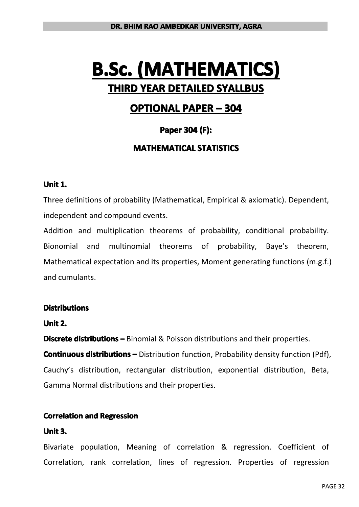## **OPTIONAL PAPER – 304**

#### **Paper 304 (F):**

#### **MATHEMATICAL MATHEMATICALSTATISTICS STATISTICS**

#### **Unit 1.**

Three definitions of probability (Mathematical, Empirical & axiomatic). Dependent, independent and compound events.

Addition and multiplication theorems of probability, conditional probability. Bionomial and multinomial theorems of probability, Baye's theorem, Mathematical expectation and its properties, Moment generating functions (m.g.f.) and cumulants.

#### **Distributions**

#### **Unit 2.**

**Discrete distributions** – Binomial & Poisson distributions and their properties.

**Continuous distributions** – Distribution function, Probability density function (Pdf), Cauchy's distribution, rectangular distribution, exponential distribution, Beta, Gamma Normal distributions and their properties.

#### **Correlation and Regression**

#### **Unit 3.**

Bivariate population, Meaning of correlation & regression. Coefficient of Correlation, rank correlation, lines of regression. Properties of regression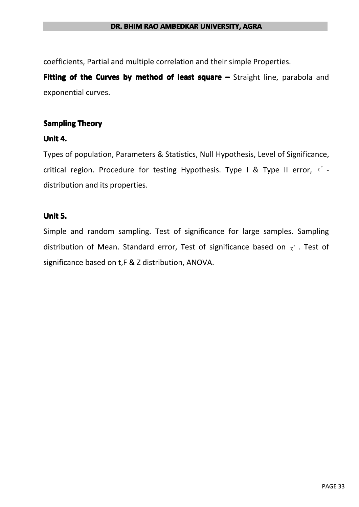coefficients, Partial and multiple correlation and their simple Properties.

**Fitting of the Curves by method of least square –** Straight line, parabola and exponential curves.

#### **Sampling Theory**

#### **Unit 4.**

Types of population, Parameters & Statistics, Null Hypothesis, Level of Significance, critical region. Procedure for testing Hypothesis. Type I & Type II error,  $x^2$  distribution and its properties.

#### **Unit 5.**

Simple and random sampling. Test of significance for large samples. Sampling distribution of Mean. Standard error, Test of significance based on  $\chi^2$ . Test of significance based on t,F & Z distribution, ANOVA.